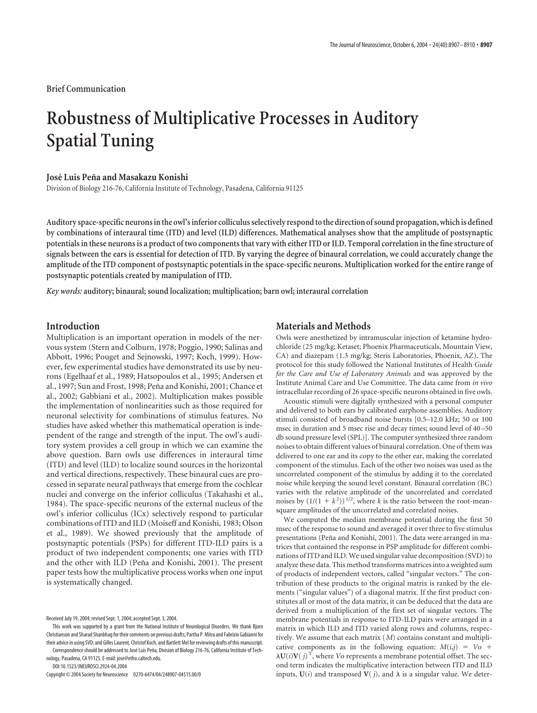**Brief Communication**

# **Robustness of Multiplicative Processes in Auditory Spatial Tuning**

# **Jose´ Luis Pen˜a and Masakazu Konishi**

Division of Biology 216-76, California Institute of Technology, Pasadena, California 91125

**Auditory space-specific neurons in the owl's inferior colliculus selectively respond to the direction of sound propagation, which is defined by combinations of interaural time (ITD) and level (ILD) differences. Mathematical analyses show that the amplitude of postsynaptic potentials in these neurons is a product of two components that vary with either ITD or ILD. Temporal correlation in the fine structure of signals between the ears is essential for detection of ITD. By varying the degree of binaural correlation, we could accurately change the amplitude of the ITD component of postsynaptic potentials in the space-specific neurons. Multiplication worked for the entire range of postsynaptic potentials created by manipulation of ITD.**

*Key words:* **auditory; binaural; sound localization; multiplication; barn owl; interaural correlation**

# **Introduction**

Multiplication is an important operation in models of the nervous system (Stern and Colburn, 1978; Poggio, 1990; Salinas and Abbott, 1996; Pouget and Sejnowski, 1997; Koch, 1999). However, few experimental studies have demonstrated its use by neurons (Egelhaaf et al., 1989; Hatsopoulos et al., 1995; Andersen et al., 1997; Sun and Frost, 1998; Peña and Konishi, 2001; Chance et al., 2002; Gabbiani et al., 2002). Multiplication makes possible the implementation of nonlinearities such as those required for neuronal selectivity for combinations of stimulus features. No studies have asked whether this mathematical operation is independent of the range and strength of the input. The owl's auditory system provides a cell group in which we can examine the above question. Barn owls use differences in interaural time (ITD) and level (ILD) to localize sound sources in the horizontal and vertical directions, respectively. These binaural cues are processed in separate neural pathways that emerge from the cochlear nuclei and converge on the inferior colliculus (Takahashi et al., 1984). The space-specific neurons of the external nucleus of the owl's inferior colliculus (ICx) selectively respond to particular combinations of ITD and ILD (Moiseff and Konishi, 1983; Olson et al., 1989). We showed previously that the amplitude of postsynaptic potentials (PSPs) for different ITD-ILD pairs is a product of two independent components; one varies with ITD and the other with ILD (Peña and Konishi, 2001). The present paper tests how the multiplicative process works when one input is systematically changed.

nology, Pasadena, CA 91125. E-mail: jose@etho.caltech.edu. DOI:10.1523/JNEUROSCI.2924-04.2004

Copyright © 2004 Society for Neuroscience 0270-6474/04/248907-04\$15.00/0

## **Materials and Methods**

Owls were anesthetized by intramuscular injection of ketamine hydrochloride (25 mg/kg; Ketaset; Phoenix Pharmaceuticals, Mountain View, CA) and diazepam (1.3 mg/kg; Steris Laboratories, Phoenix, AZ). The protocol for this study followed the National Institutes of Health *Guide for the Care and Use of Laboratory Animals* and was approved by the Institute Animal Care and Use Committee. The data came from *in vivo* intracellular recording of 26 space-specific neurons obtained in five owls.

Acoustic stimuli were digitally synthesized with a personal computer and delivered to both ears by calibrated earphone assemblies. Auditory stimuli consisted of broadband noise bursts [0.5–12.0 kHz; 50 or 100 msec in duration and 5 msec rise and decay times; sound level of 40 –50 db sound pressure level (SPL)]. The computer synthesized three random noises to obtain different values of binaural correlation. One of them was delivered to one ear and its copy to the other ear, making the correlated component of the stimulus. Each of the other two noises was used as the uncorrelated component of the stimulus by adding it to the correlated noise while keeping the sound level constant. Binaural correlation (BC) varies with the relative amplitude of the uncorrelated and correlated noises by  $(1/(1 + k^2))^{1/2}$ , where *k* is the ratio between the root-meansquare amplitudes of the uncorrelated and correlated noises.

We computed the median membrane potential during the first 50 msec of the response to sound and averaged it over three to five stimulus presentations (Peña and Konishi, 2001). The data were arranged in matrices that contained the response in PSP amplitude for different combinations of ITD and ILD. We used singular value decomposition (SVD) to analyze these data. This method transforms matrices into a weighted sum of products of independent vectors, called "singular vectors." The contribution of these products to the original matrix is ranked by the elements ("singular values") of a diagonal matrix. If the first product constitutes all or most of the data matrix, it can be deduced that the data are derived from a multiplication of the first set of singular vectors. The membrane potentials in response to ITD-ILD pairs were arranged in a matrix in which ILD and ITD varied along rows and columns, respectively. We assume that each matrix (*M*) contains constant and multiplicative components as in the following equation:  $M(i,j) = V_0 +$  $\lambda \mathbf{U}(i) \mathbf{V}(j)$ <sup>T</sup>, where *V*o represents a membrane potential offset. The second term indicates the multiplicative interaction between ITD and ILD inputs,  $U(i)$  and transposed  $V(j)$ , and  $\lambda$  is a singular value. We deter-

Received July 19, 2004; revised Sept. 1, 2004; accepted Sept. 3, 2004.

This work was supported by a grant from the National Institute of Neurological Disorders. We thank Bjorn Christianson and Sharad Shanbhag for their comments on previous drafts; Partha P. Mitra and Fabrizio Gabianni for their advice in using SVD; and Gilles Laurent, Christof Koch, and Bartlett Mel for reviewing drafts of this manuscript. Correspondence should be addressed to José Luis Peña, Division of Biology 216-76, California Institute of Tech-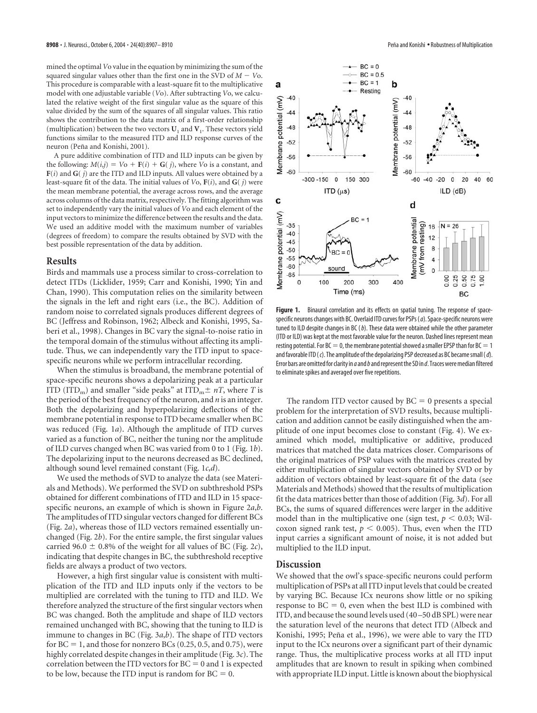mined the optimal*V*o value in the equation by minimizing the sum of the squared singular values other than the first one in the SVD of  $M - V_0$ . This procedure is comparable with a least-square fit to the multiplicative model with one adjustable variable (*V*o). After subtracting *V*o, we calculated the relative weight of the first singular value as the square of this value divided by the sum of the squares of all singular values. This ratio shows the contribution to the data matrix of a first-order relationship (multiplication) between the two vectors  $U_1$  and  $V_1$ . These vectors yield functions similar to the measured ITD and ILD response curves of the neuron (Peña and Konishi, 2001).

A pure additive combination of ITD and ILD inputs can be given by the following:  $M(i,j) = V_0 + F(i) + G(j)$ , where *V*o is a constant, and **F**(*i*) and **G**( *j*) are the ITD and ILD inputs. All values were obtained by a least-square fit of the data. The initial values of *V*o, **F**(*i*), and **G**( *j*) were the mean membrane potential, the average across rows, and the average across columns of the data matrix, respectively. The fitting algorithm was set to independently vary the initial values of *V*o and each element of the input vectors to minimize the difference between the results and the data. We used an additive model with the maximum number of variables (degrees of freedom) to compare the results obtained by SVD with the best possible representation of the data by addition.

#### **Results**

Birds and mammals use a process similar to cross-correlation to detect ITDs (Licklider, 1959; Carr and Konishi, 1990; Yin and Chan, 1990). This computation relies on the similarity between the signals in the left and right ears (i.e., the BC). Addition of random noise to correlated signals produces different degrees of BC (Jeffress and Robinson, 1962; Albeck and Konishi, 1995, Saberi et al., 1998). Changes in BC vary the signal-to-noise ratio in the temporal domain of the stimulus without affecting its amplitude. Thus, we can independently vary the ITD input to spacespecific neurons while we perform intracellular recording.

When the stimulus is broadband, the membrane potential of space-specific neurons shows a depolarizing peak at a particular ITD (ITD<sub>m</sub>) and smaller "side peaks" at ITD<sub>m</sub> $\pm nT$ , where *T* is the period of the best frequency of the neuron, and *n* is an integer. Both the depolarizing and hyperpolarizing deflections of the membrane potential in response to ITD became smaller when BC was reduced (Fig. 1*a*). Although the amplitude of ITD curves varied as a function of BC, neither the tuning nor the amplitude of ILD curves changed when BC was varied from 0 to 1 (Fig. 1*b*). The depolarizing input to the neurons decreased as BC declined, although sound level remained constant (Fig. 1*c*,*d*).

We used the methods of SVD to analyze the data (see Materials and Methods). We performed the SVD on subthreshold PSPs obtained for different combinations of ITD and ILD in 15 spacespecific neurons, an example of which is shown in Figure 2*a*,*b*. The amplitudes of ITD singular vectors changed for different BCs (Fig. 2*a*), whereas those of ILD vectors remained essentially unchanged (Fig. 2*b*). For the entire sample, the first singular values carried 96.0  $\pm$  0.8% of the weight for all values of BC (Fig. 2*c*), indicating that despite changes in BC, the subthreshold receptive fields are always a product of two vectors.

However, a high first singular value is consistent with multiplication of the ITD and ILD inputs only if the vectors to be multiplied are correlated with the tuning to ITD and ILD. We therefore analyzed the structure of the first singular vectors when BC was changed. Both the amplitude and shape of ILD vectors remained unchanged with BC, showing that the tuning to ILD is immune to changes in BC (Fig. 3*a*,*b*). The shape of ITD vectors for  $BC = 1$ , and those for nonzero  $BCs$  (0.25, 0.5, and 0.75), were highly correlated despite changes in their amplitude (Fig. 3*c*). The correlation between the ITD vectors for  $BC = 0$  and 1 is expected to be low, because the ITD input is random for  $BC = 0$ .



**Figure 1.** Binaural correlation and its effects on spatial tuning. The response of spacespecific neurons changes with BC. Overlaid ITD curves for PSPs (*a*). Space-specific neurons were tuned to ILD despite changes in BC (*b*). These data were obtained while the other parameter (ITD or ILD) was kept at the most favorable value for the neuron. Dashed lines represent mean resting potential. For BC  $=$  0, the membrane potential showed a smaller EPSP than for BC  $=$  1 and favorable ITD (*c*). The amplitude of the depolarizing PSP decreased as BC became small (*d*). Error bars are omitted for clarity in *a*and*b*and represent the SD in *d*. Traces were median filtered to eliminate spikes and averaged over five repetitions.

The random ITD vector caused by  $BC = 0$  presents a special problem for the interpretation of SVD results, because multiplication and addition cannot be easily distinguished when the amplitude of one input becomes close to constant (Fig. 4). We examined which model, multiplicative or additive, produced matrices that matched the data matrices closer. Comparisons of the original matrices of PSP values with the matrices created by either multiplication of singular vectors obtained by SVD or by addition of vectors obtained by least-square fit of the data (see Materials and Methods) showed that the results of multiplication fit the data matrices better than those of addition (Fig. 3*d*). For all BCs, the sums of squared differences were larger in the additive model than in the multiplicative one (sign test,  $p < 0.03$ ; Wilcoxon signed rank test,  $p < 0.005$ ). Thus, even when the ITD input carries a significant amount of noise, it is not added but multiplied to the ILD input.

#### **Discussion**

We showed that the owl's space-specific neurons could perform multiplication of PSPs at all ITD input levels that could be created by varying BC. Because ICx neurons show little or no spiking  $response to BC = 0$ , even when the best ILD is combined with ITD, and because the sound levels used (40–50 dB SPL) were near the saturation level of the neurons that detect ITD (Albeck and Konishi, 1995; Peña et al., 1996), we were able to vary the ITD input to the ICx neurons over a significant part of their dynamic range. Thus, the multiplicative process works at all ITD input amplitudes that are known to result in spiking when combined with appropriate ILD input. Little is known about the biophysical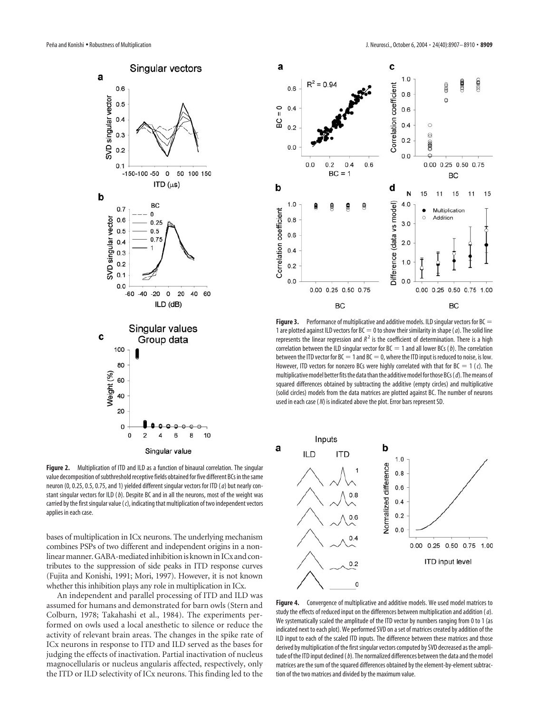

**Figure 2.** Multiplication of ITD and ILD as a function of binaural correlation. The singular value decomposition of subthreshold receptive fields obtained for five different BCs in the same neuron (0, 0.25, 0.5, 0.75, and 1) yielded different singular vectors for ITD (*a*) but nearly constant singular vectors for ILD (*b*). Despite BC and in all the neurons, most of the weight was carried by the first singular value (*c*), indicating that multiplication of two independent vectors applies in each case.

bases of multiplication in ICx neurons. The underlying mechanism combines PSPs of two different and independent origins in a nonlinear manner. GABA-mediated inhibition is known in ICx and contributes to the suppression of side peaks in ITD response curves (Fujita and Konishi, 1991; Mori, 1997). However, it is not known whether this inhibition plays any role in multiplication in ICx.

An independent and parallel processing of ITD and ILD was assumed for humans and demonstrated for barn owls (Stern and Colburn, 1978; Takahashi et al., 1984). The experiments performed on owls used a local anesthetic to silence or reduce the activity of relevant brain areas. The changes in the spike rate of ICx neurons in response to ITD and ILD served as the bases for judging the effects of inactivation. Partial inactivation of nucleus magnocellularis or nucleus angularis affected, respectively, only the ITD or ILD selectivity of ICx neurons. This finding led to the



**Figure 3.** Performance of multiplicative and additive models. ILD singular vectors for BC = 1 are plotted against ILD vectors for  $BC = 0$  to show their similarity in shape (*a*). The solid line represents the linear regression and  $R^2$  is the coefficient of determination. There is a high correlation between the ILD singular vector for  $BC = 1$  and all lower BCs (*b*). The correlation between the ITD vector for BC  $=$  1 and BC  $=$  0, where the ITD input is reduced to noise, is low. However, ITD vectors for nonzero BCs were highly correlated with that for BC = 1 (c). The multiplicative model better fits the data than the additive model for those BCs (*d*). The means of squared differences obtained by subtracting the additive (empty circles) and multiplicative (solid circles) models from the data matrices are plotted against BC. The number of neurons used in each case ( *N*) is indicated above the plot. Error bars represent SD.



**Figure 4.** Convergence of multiplicative and additive models. We used model matrices to study the effects of reduced input on the differences between multiplication and addition (*a*). We systematically scaled the amplitude of the ITD vector by numbers ranging from 0 to 1 (as indicated next to each plot). We performed SVD on a set of matrices created by addition of the ILD input to each of the scaled ITD inputs. The difference between these matrices and those derived by multiplication of the first singular vectors computed by SVD decreased as the amplitude of the ITD input declined (*b*). The normalized differences between the data and the model matrices are the sum of the squared differences obtained by the element-by-element subtraction of the two matrices and divided by the maximum value.